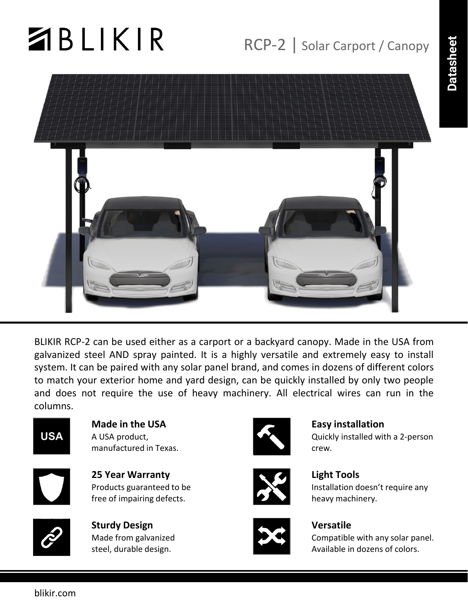# $ABLIKIR$

## RCP-2 | Solar Carport / Canopy



BLIKIR RCP-2 can be used either as a carport or a backyard canopy. Made in the USA from galvanized steel AND spray painted. It is a highly versatile and extremely easy to install system. It can be paired with any solar panel brand, and comes in dozens of different colors to match your exterior home and yard design, can be quickly installed by only two people and does not require the use of heavy machinery. All electrical wires can run in the columns.



**Made in the USA** A USA product, manufactured in Texas.



**25 Year Warranty** Products guaranteed to be free of impairing defects.



**Sturdy Design** Made from galvanized steel, durable design.



**Easy installation**

Quickly installed with a 2-person crew.



**Light Tools** Installation doesn't require any heavy machinery.



#### **Versatile**

Compatible with any solar panel. Available in dozens of colors.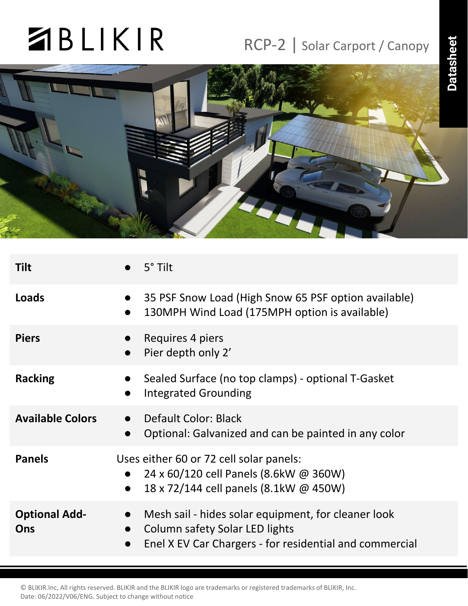## **ZBLIKIR**

### RCP-2 | Solar Carport / Canopy



| <b>Tilt</b>                 | $5^\circ$ Tilt                                                                                                                                                             |
|-----------------------------|----------------------------------------------------------------------------------------------------------------------------------------------------------------------------|
| Loads                       | 35 PSF Snow Load (High Snow 65 PSF option available)<br>130MPH Wind Load (175MPH option is available)<br>$\bullet$                                                         |
| <b>Piers</b>                | Requires 4 piers<br>Pier depth only 2'<br>$\bullet$                                                                                                                        |
| <b>Racking</b>              | Sealed Surface (no top clamps) - optional T-Gasket<br><b>Integrated Grounding</b>                                                                                          |
| <b>Available Colors</b>     | Default Color: Black<br>Optional: Galvanized and can be painted in any color<br>$\bullet$                                                                                  |
| <b>Panels</b>               | Uses either 60 or 72 cell solar panels:<br>24 x 60/120 cell Panels (8.6kW @ 360W)<br>18 x 72/144 cell panels (8.1kW @ 450W)                                                |
| <b>Optional Add-</b><br>Ons | Mesh sail - hides solar equipment, for cleaner look<br>$\bullet$<br>Column safety Solar LED lights<br>$\bullet$<br>Enel X EV Car Chargers - for residential and commercial |
|                             |                                                                                                                                                                            |

© BLIKIR.Inc, All rights reserved. BLIKIR and the BLIKIR logo are trademarks or registered trademarks of BLIKIR, Inc. Date: 06/2022/V06/ENG. Subject to change without notice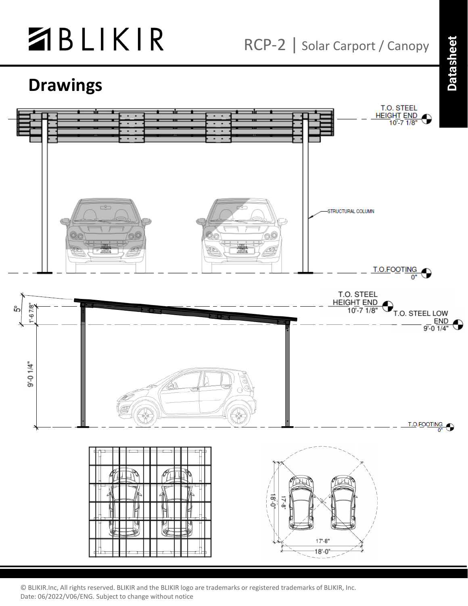

RCP-2 | Solar Carport / Canopy

### **Drawings**



© BLIKIR.Inc, All rights reserved. BLIKIR and the BLIKIR logo are trademarks or registered trademarks of BLIKIR, Inc. Date: 06/2022/V06/ENG. Subject to change without notice